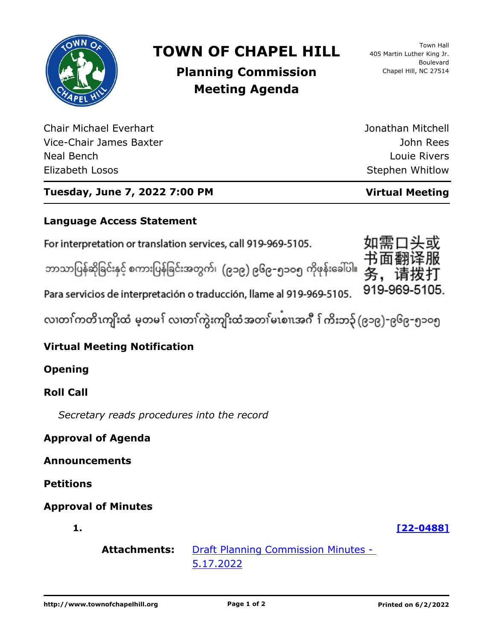

# **TOWN OF CHAPEL HILL**

Town Hall 405 Martin Luther King Jr. Boulevard Chapel Hill, NC 27514

# **Planning Commission Meeting Agenda**

Chair Michael Everhart Vice-Chair James Baxter Neal Bench Elizabeth Losos

John Rees Louie Rivers Stephen Whitlow

Jonathan Mitchell

# **Tuesday, June 7, 2022 7:00 PM Virtual Meeting**

## **Language Access Statement**

For interpretation or translation services, call 919-969-5105.

ဘာသာပြန်ဆိုခြင်းနှင့် စကားပြန်ခြင်းအတွက်၊ (၉၁၉) ၉၆၉–၅၁ဝ၅ ကိုဖုန်းခေါ်ပါ။

919-969-5105. Para servicios de interpretación o traducción, llame al 919-969-5105.

လ၊တၢ်ကတိၤကျိးထံ မ့တမ႑် လ၊တၢ်ကွဲးကျိးထံအတၤ်မၤစၢ၊အဂီ ႑်ကိးဘ၃် (၉၁၉)–၉၆၉–၅၁၀၅

# **Virtual Meeting Notification**

**Opening**

# **Roll Call**

*Secretary reads procedures into the record*

### **Approval of Agenda**

**Announcements**

**Petitions**

## **Approval of Minutes**

**1. [\[22-0488\]](http://chapelhill.legistar.com/gateway.aspx?m=l&id=/matter.aspx?key=8064)**

**Attachments:** [Draft Planning Commission Minutes -](http://chapelhill.legistar.com/gateway.aspx?M=F&ID=98498655-2397-48cc-ad58-9d8360ddf38b.pdf)  5.17.2022